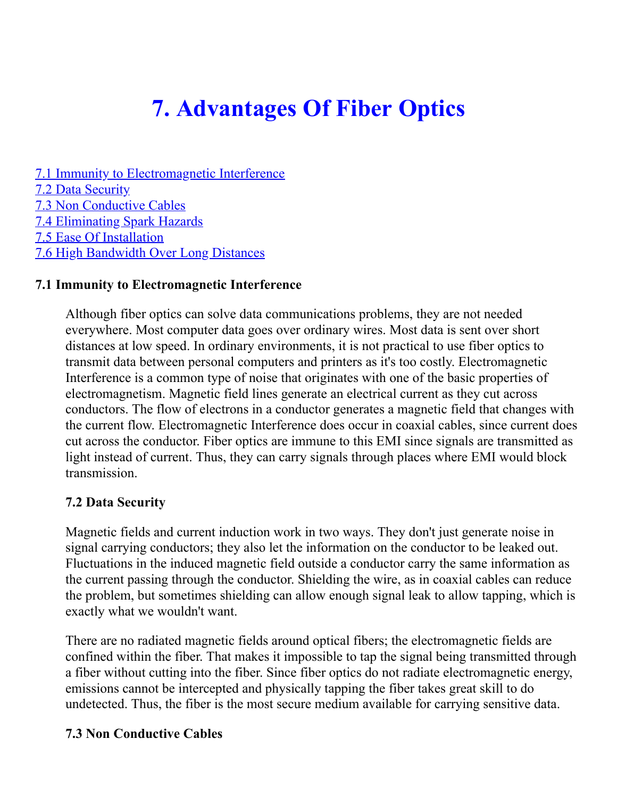# **7. Advantages Of Fiber Optics**

[7.1 Immunity to Electromagnetic Interference](https://web.archive.org/web/20181110175211/http://www.doc.ic.ac.uk/~nd/surprise_97/journal/vol4/sm27/adv.html#emi) [7.2 Data Security](https://web.archive.org/web/20181110175211/http://www.doc.ic.ac.uk/~nd/surprise_97/journal/vol4/sm27/adv.html#data) [7.3 Non Conductive Cables](https://web.archive.org/web/20181110175211/http://www.doc.ic.ac.uk/~nd/surprise_97/journal/vol4/sm27/adv.html#non) [7.4 Eliminating Spark Hazards](https://web.archive.org/web/20181110175211/http://www.doc.ic.ac.uk/~nd/surprise_97/journal/vol4/sm27/adv.html#spark) [7.5 Ease Of Installation](https://web.archive.org/web/20181110175211/http://www.doc.ic.ac.uk/~nd/surprise_97/journal/vol4/sm27/adv.html#easy) [7.6 High Bandwidth Over Long Distances](https://web.archive.org/web/20181110175211/http://www.doc.ic.ac.uk/~nd/surprise_97/journal/vol4/sm27/adv.html#high)

#### **7.1 Immunity to Electromagnetic Interference**

Although fiber optics can solve data communications problems, they are not needed everywhere. Most computer data goes over ordinary wires. Most data is sent over short distances at low speed. In ordinary environments, it is not practical to use fiber optics to transmit data between personal computers and printers as it's too costly. Electromagnetic Interference is a common type of noise that originates with one of the basic properties of electromagnetism. Magnetic field lines generate an electrical current as they cut across conductors. The flow of electrons in a conductor generates a magnetic field that changes with the current flow. Electromagnetic Interference does occur in coaxial cables, since current does cut across the conductor. Fiber optics are immune to this EMI since signals are transmitted as light instead of current. Thus, they can carry signals through places where EMI would block transmission.

#### **7.2 Data Security**

Magnetic fields and current induction work in two ways. They don't just generate noise in signal carrying conductors; they also let the information on the conductor to be leaked out. Fluctuations in the induced magnetic field outside a conductor carry the same information as the current passing through the conductor. Shielding the wire, as in coaxial cables can reduce the problem, but sometimes shielding can allow enough signal leak to allow tapping, which is exactly what we wouldn't want.

There are no radiated magnetic fields around optical fibers; the electromagnetic fields are confined within the fiber. That makes it impossible to tap the signal being transmitted through a fiber without cutting into the fiber. Since fiber optics do not radiate electromagnetic energy, emissions cannot be intercepted and physically tapping the fiber takes great skill to do undetected. Thus, the fiber is the most secure medium available for carrying sensitive data.

#### **7.3 Non Conductive Cables**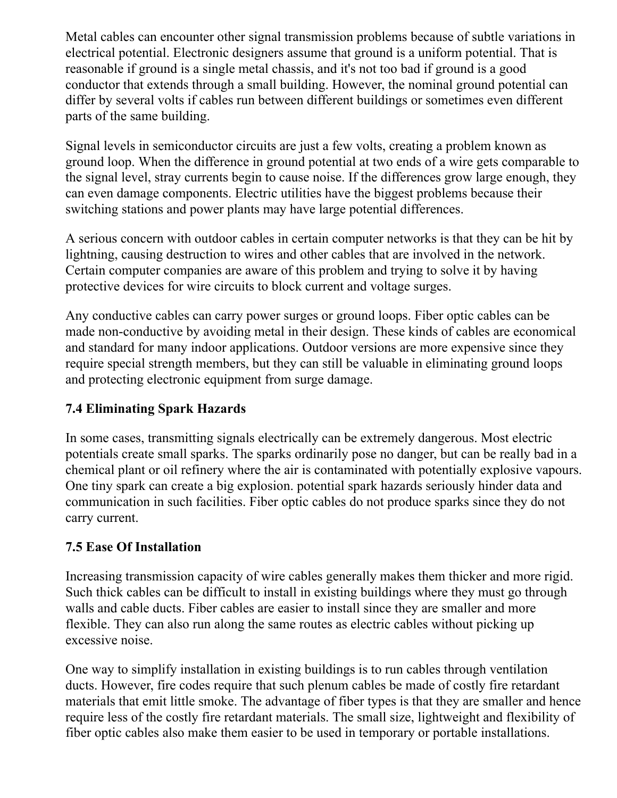Metal cables can encounter other signal transmission problems because of subtle variations in electrical potential. Electronic designers assume that ground is a uniform potential. That is reasonable if ground is a single metal chassis, and it's not too bad if ground is a good conductor that extends through a small building. However, the nominal ground potential can differ by several volts if cables run between different buildings or sometimes even different parts of the same building.

Signal levels in semiconductor circuits are just a few volts, creating a problem known as ground loop. When the difference in ground potential at two ends of a wire gets comparable to the signal level, stray currents begin to cause noise. If the differences grow large enough, they can even damage components. Electric utilities have the biggest problems because their switching stations and power plants may have large potential differences.

A serious concern with outdoor cables in certain computer networks is that they can be hit by lightning, causing destruction to wires and other cables that are involved in the network. Certain computer companies are aware of this problem and trying to solve it by having protective devices for wire circuits to block current and voltage surges.

Any conductive cables can carry power surges or ground loops. Fiber optic cables can be made non-conductive by avoiding metal in their design. These kinds of cables are economical and standard for many indoor applications. Outdoor versions are more expensive since they require special strength members, but they can still be valuable in eliminating ground loops and protecting electronic equipment from surge damage.

## **7.4 Eliminating Spark Hazards**

In some cases, transmitting signals electrically can be extremely dangerous. Most electric potentials create small sparks. The sparks ordinarily pose no danger, but can be really bad in a chemical plant or oil refinery where the air is contaminated with potentially explosive vapours. One tiny spark can create a big explosion. potential spark hazards seriously hinder data and communication in such facilities. Fiber optic cables do not produce sparks since they do not carry current.

### **7.5 Ease Of Installation**

Increasing transmission capacity of wire cables generally makes them thicker and more rigid. Such thick cables can be difficult to install in existing buildings where they must go through walls and cable ducts. Fiber cables are easier to install since they are smaller and more flexible. They can also run along the same routes as electric cables without picking up excessive noise.

One way to simplify installation in existing buildings is to run cables through ventilation ducts. However, fire codes require that such plenum cables be made of costly fire retardant materials that emit little smoke. The advantage of fiber types is that they are smaller and hence require less of the costly fire retardant materials. The small size, lightweight and flexibility of fiber optic cables also make them easier to be used in temporary or portable installations.